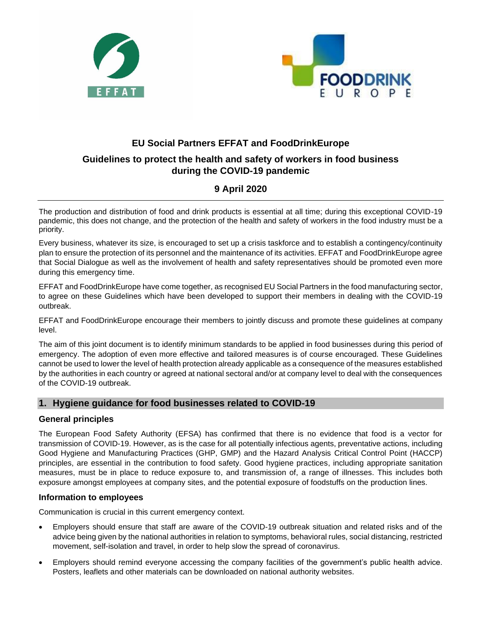



# **EU Social Partners EFFAT and FoodDrinkEurope Guidelines to protect the health and safety of workers in food business during the COVID-19 pandemic**

## **9 April 2020**

The production and distribution of food and drink products is essential at all time; during this exceptional COVID-19 pandemic, this does not change, and the protection of the health and safety of workers in the food industry must be a priority.

Every business, whatever its size, is encouraged to set up a crisis taskforce and to establish a contingency/continuity plan to ensure the protection of its personnel and the maintenance of its activities. EFFAT and FoodDrinkEurope agree that Social Dialogue as well as the involvement of health and safety representatives should be promoted even more during this emergency time.

EFFAT and FoodDrinkEurope have come together, as recognised EU Social Partners in the food manufacturing sector, to agree on these Guidelines which have been developed to support their members in dealing with the COVID-19 outbreak.

EFFAT and FoodDrinkEurope encourage their members to jointly discuss and promote these guidelines at company level.

The aim of this joint document is to identify minimum standards to be applied in food businesses during this period of emergency. The adoption of even more effective and tailored measures is of course encouraged. These Guidelines cannot be used to lower the level of health protection already applicable as a consequence of the measures established by the authorities in each country or agreed at national sectoral and/or at company level to deal with the consequences of the COVID-19 outbreak.

## **1. Hygiene guidance for food businesses related to COVID-19**

## **General principles**

The European Food Safety Authority (EFSA) has confirmed that there is no evidence that food is a vector for transmission of COVID-19. However, as is the case for all potentially infectious agents, preventative actions, including Good Hygiene and Manufacturing Practices (GHP, GMP) and the Hazard Analysis Critical Control Point (HACCP) principles, are essential in the contribution to food safety. Good hygiene practices, including appropriate sanitation measures, must be in place to reduce exposure to, and transmission of, a range of illnesses. This includes both exposure amongst employees at company sites, and the potential exposure of foodstuffs on the production lines.

## **Information to employees**

Communication is crucial in this current emergency context.

- Employers should ensure that staff are aware of the COVID-19 outbreak situation and related risks and of the advice being given by the national authorities in relation to symptoms, behavioral rules, social distancing, restricted movement, self-isolation and travel, in order to help slow the spread of coronavirus.
- Employers should remind everyone accessing the company facilities of the government's public health advice. Posters, leaflets and other materials can be downloaded on national authority websites.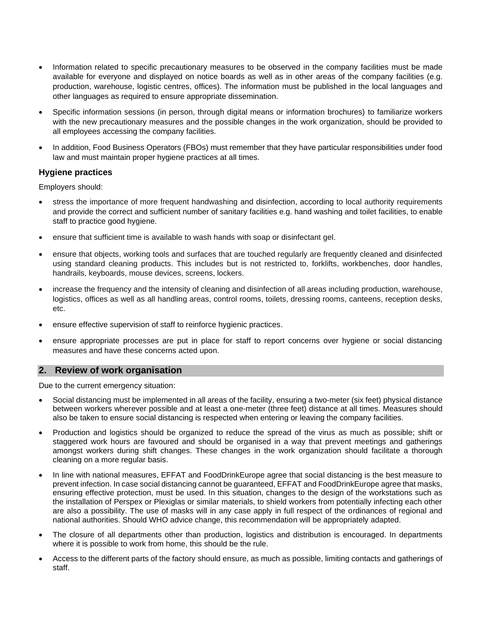- Information related to specific precautionary measures to be observed in the company facilities must be made available for everyone and displayed on notice boards as well as in other areas of the company facilities (e.g. production, warehouse, logistic centres, offices). The information must be published in the local languages and other languages as required to ensure appropriate dissemination.
- Specific information sessions (in person, through digital means or information brochures) to familiarize workers with the new precautionary measures and the possible changes in the work organization, should be provided to all employees accessing the company facilities.
- In addition, Food Business Operators (FBOs) must remember that they have particular responsibilities under food law and must maintain proper hygiene practices at all times.

#### **Hygiene practices**

Employers should:

- stress the importance of more frequent handwashing and disinfection, according to local authority requirements and provide the correct and sufficient number of sanitary facilities e.g. hand washing and toilet facilities, to enable staff to practice good hygiene.
- ensure that sufficient time is available to wash hands with soap or disinfectant gel.
- ensure that objects, working tools and surfaces that are touched regularly are frequently cleaned and disinfected using standard cleaning products. This includes but is not restricted to, forklifts, workbenches, door handles, handrails, keyboards, mouse devices, screens, lockers.
- increase the frequency and the intensity of cleaning and disinfection of all areas including production, warehouse, logistics, offices as well as all handling areas, control rooms, toilets, dressing rooms, canteens, reception desks, etc.
- ensure effective supervision of staff to reinforce hygienic practices.
- ensure appropriate processes are put in place for staff to report concerns over hygiene or social distancing measures and have these concerns acted upon.

#### **2. Review of work organisation**

Due to the current emergency situation:

- Social distancing must be implemented in all areas of the facility, ensuring a two-meter (six feet) physical distance between workers wherever possible and at least a one-meter (three feet) distance at all times. Measures should also be taken to ensure social distancing is respected when entering or leaving the company facilities.
- Production and logistics should be organized to reduce the spread of the virus as much as possible; shift or staggered work hours are favoured and should be organised in a way that prevent meetings and gatherings amongst workers during shift changes. These changes in the work organization should facilitate a thorough cleaning on a more regular basis.
- In line with national measures, EFFAT and FoodDrinkEurope agree that social distancing is the best measure to prevent infection. In case social distancing cannot be guaranteed, EFFAT and FoodDrinkEurope agree that masks, ensuring effective protection, must be used. In this situation, changes to the design of the workstations such as the installation of Perspex or Plexiglas or similar materials, to shield workers from potentially infecting each other are also a possibility. The use of masks will in any case apply in full respect of the ordinances of regional and national authorities. Should WHO advice change, this recommendation will be appropriately adapted.
- The closure of all departments other than production, logistics and distribution is encouraged. In departments where it is possible to work from home, this should be the rule.
- Access to the different parts of the factory should ensure, as much as possible, limiting contacts and gatherings of staff.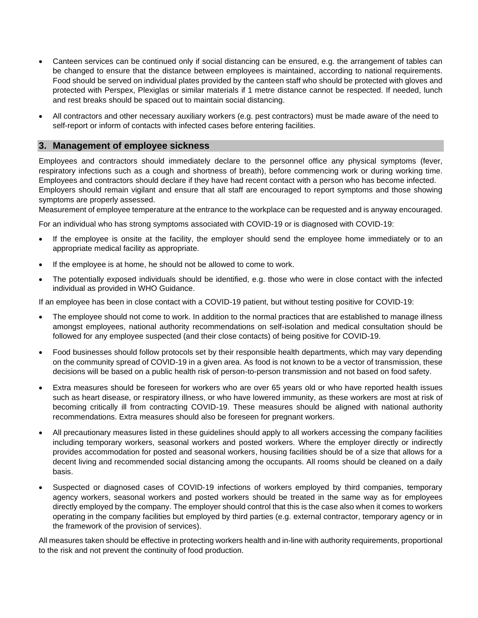- Canteen services can be continued only if social distancing can be ensured, e.g. the arrangement of tables can be changed to ensure that the distance between employees is maintained, according to national requirements. Food should be served on individual plates provided by the canteen staff who should be protected with gloves and protected with Perspex, Plexiglas or similar materials if 1 metre distance cannot be respected. If needed, lunch and rest breaks should be spaced out to maintain social distancing.
- All contractors and other necessary auxiliary workers (e.g. pest contractors) must be made aware of the need to self-report or inform of contacts with infected cases before entering facilities.

#### **3. Management of employee sickness**

Employees and contractors should immediately declare to the personnel office any physical symptoms (fever, respiratory infections such as a cough and shortness of breath), before commencing work or during working time. Employees and contractors should declare if they have had recent contact with a person who has become infected. Employers should remain vigilant and ensure that all staff are encouraged to report symptoms and those showing symptoms are properly assessed.

Measurement of employee temperature at the entrance to the workplace can be requested and is anyway encouraged.

For an individual who has strong symptoms associated with COVID-19 or is diagnosed with COVID-19:

- If the employee is onsite at the facility, the employer should send the employee home immediately or to an appropriate medical facility as appropriate.
- If the employee is at home, he should not be allowed to come to work.
- The potentially exposed individuals should be identified, e.g. those who were in close contact with the infected individual as provided in WHO Guidance.

If an employee has been in close contact with a COVID-19 patient, but without testing positive for COVID-19:

- The employee should not come to work. In addition to the normal practices that are established to manage illness amongst employees, national authority recommendations on self-isolation and medical consultation should be followed for any employee suspected (and their close contacts) of being positive for COVID-19.
- Food businesses should follow protocols set by their responsible health departments, which may vary depending on the community spread of COVID-19 in a given area. As food is not known to be a vector of transmission, these decisions will be based on a public health risk of person-to-person transmission and not based on food safety.
- Extra measures should be foreseen for workers who are over 65 years old or who have reported health issues such as heart disease, or respiratory illness, or who have lowered immunity, as these workers are most at risk of becoming critically ill from contracting COVID-19. These measures should be aligned with national authority recommendations. Extra measures should also be foreseen for pregnant workers.
- All precautionary measures listed in these guidelines should apply to all workers accessing the company facilities including temporary workers, seasonal workers and posted workers. Where the employer directly or indirectly provides accommodation for posted and seasonal workers, housing facilities should be of a size that allows for a decent living and recommended social distancing among the occupants. All rooms should be cleaned on a daily basis.
- Suspected or diagnosed cases of COVID-19 infections of workers employed by third companies, temporary agency workers, seasonal workers and posted workers should be treated in the same way as for employees directly employed by the company. The employer should control that this is the case also when it comes to workers operating in the company facilities but employed by third parties (e.g. external contractor, temporary agency or in the framework of the provision of services).

All measures taken should be effective in protecting workers health and in-line with authority requirements, proportional to the risk and not prevent the continuity of food production.